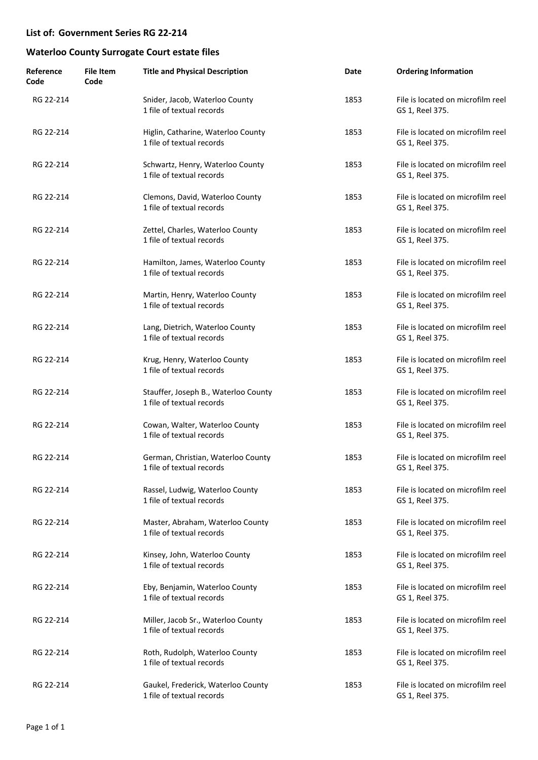| Reference<br>Code | <b>File Item</b><br>Code | <b>Title and Physical Description</b>                             | Date | <b>Ordering Information</b>                          |
|-------------------|--------------------------|-------------------------------------------------------------------|------|------------------------------------------------------|
| RG 22-214         |                          | Snider, Jacob, Waterloo County<br>1 file of textual records       | 1853 | File is located on microfilm reel<br>GS 1, Reel 375. |
| RG 22-214         |                          | Higlin, Catharine, Waterloo County<br>1 file of textual records   | 1853 | File is located on microfilm reel<br>GS 1, Reel 375. |
| RG 22-214         |                          | Schwartz, Henry, Waterloo County<br>1 file of textual records     | 1853 | File is located on microfilm reel<br>GS 1, Reel 375. |
| RG 22-214         |                          | Clemons, David, Waterloo County<br>1 file of textual records      | 1853 | File is located on microfilm reel<br>GS 1, Reel 375. |
| RG 22-214         |                          | Zettel, Charles, Waterloo County<br>1 file of textual records     | 1853 | File is located on microfilm reel<br>GS 1, Reel 375. |
| RG 22-214         |                          | Hamilton, James, Waterloo County<br>1 file of textual records     | 1853 | File is located on microfilm reel<br>GS 1, Reel 375. |
| RG 22-214         |                          | Martin, Henry, Waterloo County<br>1 file of textual records       | 1853 | File is located on microfilm reel<br>GS 1, Reel 375. |
| RG 22-214         |                          | Lang, Dietrich, Waterloo County<br>1 file of textual records      | 1853 | File is located on microfilm reel<br>GS 1, Reel 375. |
| RG 22-214         |                          | Krug, Henry, Waterloo County<br>1 file of textual records         | 1853 | File is located on microfilm reel<br>GS 1, Reel 375. |
| RG 22-214         |                          | Stauffer, Joseph B., Waterloo County<br>1 file of textual records | 1853 | File is located on microfilm reel<br>GS 1, Reel 375. |
| RG 22-214         |                          | Cowan, Walter, Waterloo County<br>1 file of textual records       | 1853 | File is located on microfilm reel<br>GS 1, Reel 375. |
| RG 22-214         |                          | German, Christian, Waterloo County<br>1 file of textual records   | 1853 | File is located on microfilm reel<br>GS 1, Reel 375. |
| RG 22-214         |                          | Rassel, Ludwig, Waterloo County<br>1 file of textual records      | 1853 | File is located on microfilm reel<br>GS 1, Reel 375. |
| RG 22-214         |                          | Master, Abraham, Waterloo County<br>1 file of textual records     | 1853 | File is located on microfilm reel<br>GS 1, Reel 375. |
| RG 22-214         |                          | Kinsey, John, Waterloo County<br>1 file of textual records        | 1853 | File is located on microfilm reel<br>GS 1, Reel 375. |
| RG 22-214         |                          | Eby, Benjamin, Waterloo County<br>1 file of textual records       | 1853 | File is located on microfilm reel<br>GS 1, Reel 375. |
| RG 22-214         |                          | Miller, Jacob Sr., Waterloo County<br>1 file of textual records   | 1853 | File is located on microfilm reel<br>GS 1, Reel 375. |
| RG 22-214         |                          | Roth, Rudolph, Waterloo County<br>1 file of textual records       | 1853 | File is located on microfilm reel<br>GS 1, Reel 375. |
| RG 22-214         |                          | Gaukel, Frederick, Waterloo County<br>1 file of textual records   | 1853 | File is located on microfilm reel<br>GS 1, Reel 375. |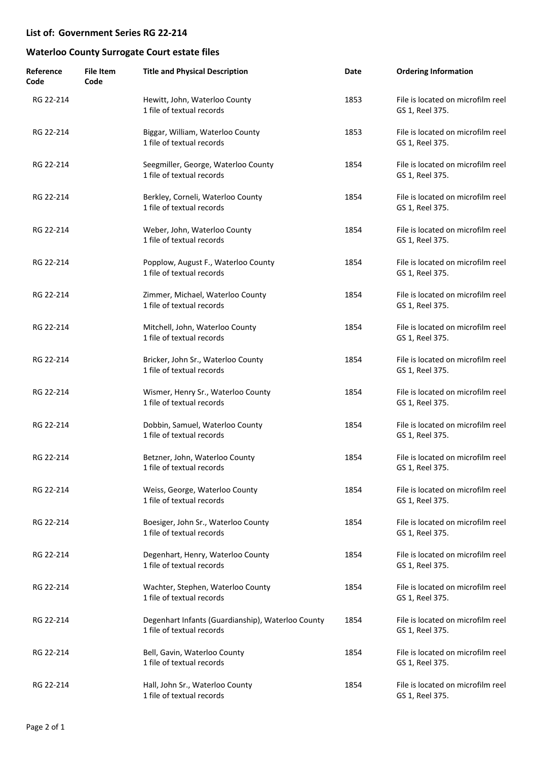| Reference<br>Code | <b>File Item</b><br>Code | <b>Title and Physical Description</b>                                          | Date | <b>Ordering Information</b>                          |
|-------------------|--------------------------|--------------------------------------------------------------------------------|------|------------------------------------------------------|
| RG 22-214         |                          | Hewitt, John, Waterloo County<br>1 file of textual records                     | 1853 | File is located on microfilm reel<br>GS 1, Reel 375. |
| RG 22-214         |                          | Biggar, William, Waterloo County<br>1 file of textual records                  | 1853 | File is located on microfilm reel<br>GS 1, Reel 375. |
| RG 22-214         |                          | Seegmiller, George, Waterloo County<br>1 file of textual records               | 1854 | File is located on microfilm reel<br>GS 1, Reel 375. |
| RG 22-214         |                          | Berkley, Corneli, Waterloo County<br>1 file of textual records                 | 1854 | File is located on microfilm reel<br>GS 1, Reel 375. |
| RG 22-214         |                          | Weber, John, Waterloo County<br>1 file of textual records                      | 1854 | File is located on microfilm reel<br>GS 1, Reel 375. |
| RG 22-214         |                          | Popplow, August F., Waterloo County<br>1 file of textual records               | 1854 | File is located on microfilm reel<br>GS 1, Reel 375. |
| RG 22-214         |                          | Zimmer, Michael, Waterloo County<br>1 file of textual records                  | 1854 | File is located on microfilm reel<br>GS 1, Reel 375. |
| RG 22-214         |                          | Mitchell, John, Waterloo County<br>1 file of textual records                   | 1854 | File is located on microfilm reel<br>GS 1, Reel 375. |
| RG 22-214         |                          | Bricker, John Sr., Waterloo County<br>1 file of textual records                | 1854 | File is located on microfilm reel<br>GS 1, Reel 375. |
| RG 22-214         |                          | Wismer, Henry Sr., Waterloo County<br>1 file of textual records                | 1854 | File is located on microfilm reel<br>GS 1, Reel 375. |
| RG 22-214         |                          | Dobbin, Samuel, Waterloo County<br>1 file of textual records                   | 1854 | File is located on microfilm reel<br>GS 1, Reel 375. |
| RG 22-214         |                          | Betzner, John, Waterloo County<br>1 file of textual records                    | 1854 | File is located on microfilm reel<br>GS 1, Reel 375. |
| RG 22-214         |                          | Weiss, George, Waterloo County<br>1 file of textual records                    | 1854 | File is located on microfilm reel<br>GS 1, Reel 375. |
| RG 22-214         |                          | Boesiger, John Sr., Waterloo County<br>1 file of textual records               | 1854 | File is located on microfilm reel<br>GS 1, Reel 375. |
| RG 22-214         |                          | Degenhart, Henry, Waterloo County<br>1 file of textual records                 | 1854 | File is located on microfilm reel<br>GS 1, Reel 375. |
| RG 22-214         |                          | Wachter, Stephen, Waterloo County<br>1 file of textual records                 | 1854 | File is located on microfilm reel<br>GS 1, Reel 375. |
| RG 22-214         |                          | Degenhart Infants (Guardianship), Waterloo County<br>1 file of textual records | 1854 | File is located on microfilm reel<br>GS 1, Reel 375. |
| RG 22-214         |                          | Bell, Gavin, Waterloo County<br>1 file of textual records                      | 1854 | File is located on microfilm reel<br>GS 1, Reel 375. |
| RG 22-214         |                          | Hall, John Sr., Waterloo County<br>1 file of textual records                   | 1854 | File is located on microfilm reel<br>GS 1, Reel 375. |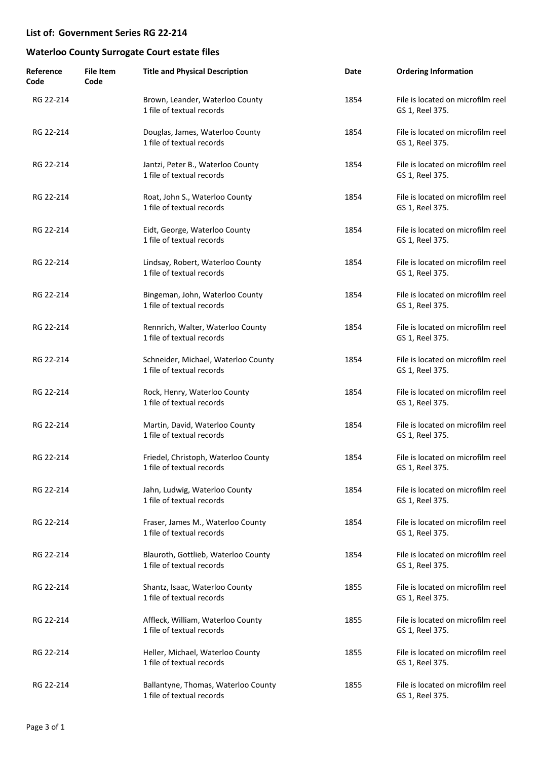| Reference<br>Code | <b>File Item</b><br>Code | <b>Title and Physical Description</b>                            | Date | <b>Ordering Information</b>                          |
|-------------------|--------------------------|------------------------------------------------------------------|------|------------------------------------------------------|
| RG 22-214         |                          | Brown, Leander, Waterloo County<br>1 file of textual records     | 1854 | File is located on microfilm reel<br>GS 1, Reel 375. |
| RG 22-214         |                          | Douglas, James, Waterloo County<br>1 file of textual records     | 1854 | File is located on microfilm reel<br>GS 1, Reel 375. |
| RG 22-214         |                          | Jantzi, Peter B., Waterloo County<br>1 file of textual records   | 1854 | File is located on microfilm reel<br>GS 1, Reel 375. |
| RG 22-214         |                          | Roat, John S., Waterloo County<br>1 file of textual records      | 1854 | File is located on microfilm reel<br>GS 1, Reel 375. |
| RG 22-214         |                          | Eidt, George, Waterloo County<br>1 file of textual records       | 1854 | File is located on microfilm reel<br>GS 1, Reel 375. |
| RG 22-214         |                          | Lindsay, Robert, Waterloo County<br>1 file of textual records    | 1854 | File is located on microfilm reel<br>GS 1, Reel 375. |
| RG 22-214         |                          | Bingeman, John, Waterloo County<br>1 file of textual records     | 1854 | File is located on microfilm reel<br>GS 1, Reel 375. |
| RG 22-214         |                          | Rennrich, Walter, Waterloo County<br>1 file of textual records   | 1854 | File is located on microfilm reel<br>GS 1, Reel 375. |
| RG 22-214         |                          | Schneider, Michael, Waterloo County<br>1 file of textual records | 1854 | File is located on microfilm reel<br>GS 1, Reel 375. |
| RG 22-214         |                          | Rock, Henry, Waterloo County<br>1 file of textual records        | 1854 | File is located on microfilm reel<br>GS 1, Reel 375. |
| RG 22-214         |                          | Martin, David, Waterloo County<br>1 file of textual records      | 1854 | File is located on microfilm reel<br>GS 1, Reel 375. |
| RG 22-214         |                          | Friedel, Christoph, Waterloo County<br>1 file of textual records | 1854 | File is located on microfilm reel<br>GS 1, Reel 375. |
| RG 22-214         |                          | Jahn, Ludwig, Waterloo County<br>1 file of textual records       | 1854 | File is located on microfilm reel<br>GS 1, Reel 375. |
| RG 22-214         |                          | Fraser, James M., Waterloo County<br>1 file of textual records   | 1854 | File is located on microfilm reel<br>GS 1, Reel 375. |
| RG 22-214         |                          | Blauroth, Gottlieb, Waterloo County<br>1 file of textual records | 1854 | File is located on microfilm reel<br>GS 1, Reel 375. |
| RG 22-214         |                          | Shantz, Isaac, Waterloo County<br>1 file of textual records      | 1855 | File is located on microfilm reel<br>GS 1, Reel 375. |
| RG 22-214         |                          | Affleck, William, Waterloo County<br>1 file of textual records   | 1855 | File is located on microfilm reel<br>GS 1, Reel 375. |
| RG 22-214         |                          | Heller, Michael, Waterloo County<br>1 file of textual records    | 1855 | File is located on microfilm reel<br>GS 1, Reel 375. |
| RG 22-214         |                          | Ballantyne, Thomas, Waterloo County<br>1 file of textual records | 1855 | File is located on microfilm reel<br>GS 1, Reel 375. |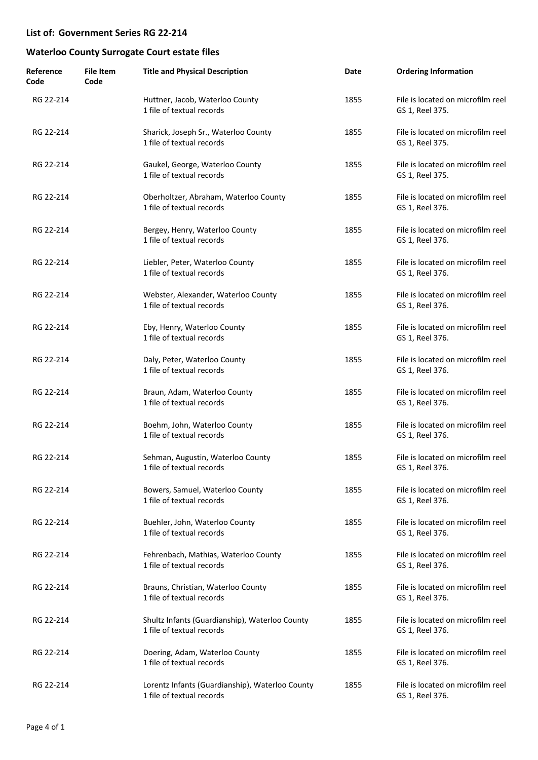| Reference<br>Code | <b>File Item</b><br>Code | <b>Title and Physical Description</b>                                        | Date | <b>Ordering Information</b>                          |
|-------------------|--------------------------|------------------------------------------------------------------------------|------|------------------------------------------------------|
| RG 22-214         |                          | Huttner, Jacob, Waterloo County<br>1 file of textual records                 | 1855 | File is located on microfilm reel<br>GS 1, Reel 375. |
| RG 22-214         |                          | Sharick, Joseph Sr., Waterloo County<br>1 file of textual records            | 1855 | File is located on microfilm reel<br>GS 1, Reel 375. |
| RG 22-214         |                          | Gaukel, George, Waterloo County<br>1 file of textual records                 | 1855 | File is located on microfilm reel<br>GS 1, Reel 375. |
| RG 22-214         |                          | Oberholtzer, Abraham, Waterloo County<br>1 file of textual records           | 1855 | File is located on microfilm reel<br>GS 1, Reel 376. |
| RG 22-214         |                          | Bergey, Henry, Waterloo County<br>1 file of textual records                  | 1855 | File is located on microfilm reel<br>GS 1, Reel 376. |
| RG 22-214         |                          | Liebler, Peter, Waterloo County<br>1 file of textual records                 | 1855 | File is located on microfilm reel<br>GS 1, Reel 376. |
| RG 22-214         |                          | Webster, Alexander, Waterloo County<br>1 file of textual records             | 1855 | File is located on microfilm reel<br>GS 1, Reel 376. |
| RG 22-214         |                          | Eby, Henry, Waterloo County<br>1 file of textual records                     | 1855 | File is located on microfilm reel<br>GS 1, Reel 376. |
| RG 22-214         |                          | Daly, Peter, Waterloo County<br>1 file of textual records                    | 1855 | File is located on microfilm reel<br>GS 1, Reel 376. |
| RG 22-214         |                          | Braun, Adam, Waterloo County<br>1 file of textual records                    | 1855 | File is located on microfilm reel<br>GS 1, Reel 376. |
| RG 22-214         |                          | Boehm, John, Waterloo County<br>1 file of textual records                    | 1855 | File is located on microfilm reel<br>GS 1, Reel 376. |
| RG 22-214         |                          | Sehman, Augustin, Waterloo County<br>1 file of textual records               | 1855 | File is located on microfilm reel<br>GS 1, Reel 376. |
| RG 22-214         |                          | Bowers, Samuel, Waterloo County<br>1 file of textual records                 | 1855 | File is located on microfilm reel<br>GS 1, Reel 376. |
| RG 22-214         |                          | Buehler, John, Waterloo County<br>1 file of textual records                  | 1855 | File is located on microfilm reel<br>GS 1, Reel 376. |
| RG 22-214         |                          | Fehrenbach, Mathias, Waterloo County<br>1 file of textual records            | 1855 | File is located on microfilm reel<br>GS 1, Reel 376. |
| RG 22-214         |                          | Brauns, Christian, Waterloo County<br>1 file of textual records              | 1855 | File is located on microfilm reel<br>GS 1, Reel 376. |
| RG 22-214         |                          | Shultz Infants (Guardianship), Waterloo County<br>1 file of textual records  | 1855 | File is located on microfilm reel<br>GS 1, Reel 376. |
| RG 22-214         |                          | Doering, Adam, Waterloo County<br>1 file of textual records                  | 1855 | File is located on microfilm reel<br>GS 1, Reel 376. |
| RG 22-214         |                          | Lorentz Infants (Guardianship), Waterloo County<br>1 file of textual records | 1855 | File is located on microfilm reel<br>GS 1, Reel 376. |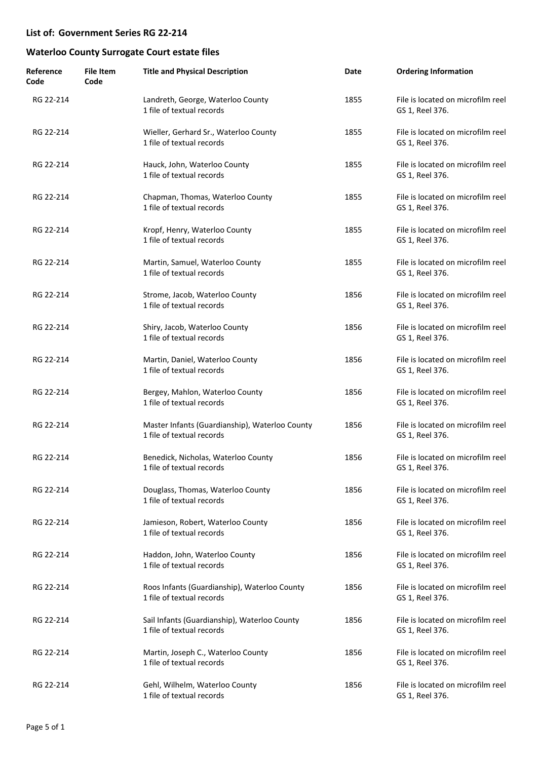| Reference<br>Code | <b>File Item</b><br>Code | <b>Title and Physical Description</b>                                       | Date | <b>Ordering Information</b>                          |
|-------------------|--------------------------|-----------------------------------------------------------------------------|------|------------------------------------------------------|
| RG 22-214         |                          | Landreth, George, Waterloo County<br>1 file of textual records              | 1855 | File is located on microfilm reel<br>GS 1, Reel 376. |
| RG 22-214         |                          | Wieller, Gerhard Sr., Waterloo County<br>1 file of textual records          | 1855 | File is located on microfilm reel<br>GS 1, Reel 376. |
| RG 22-214         |                          | Hauck, John, Waterloo County<br>1 file of textual records                   | 1855 | File is located on microfilm reel<br>GS 1, Reel 376. |
| RG 22-214         |                          | Chapman, Thomas, Waterloo County<br>1 file of textual records               | 1855 | File is located on microfilm reel<br>GS 1, Reel 376. |
| RG 22-214         |                          | Kropf, Henry, Waterloo County<br>1 file of textual records                  | 1855 | File is located on microfilm reel<br>GS 1, Reel 376. |
| RG 22-214         |                          | Martin, Samuel, Waterloo County<br>1 file of textual records                | 1855 | File is located on microfilm reel<br>GS 1, Reel 376. |
| RG 22-214         |                          | Strome, Jacob, Waterloo County<br>1 file of textual records                 | 1856 | File is located on microfilm reel<br>GS 1, Reel 376. |
| RG 22-214         |                          | Shiry, Jacob, Waterloo County<br>1 file of textual records                  | 1856 | File is located on microfilm reel<br>GS 1, Reel 376. |
| RG 22-214         |                          | Martin, Daniel, Waterloo County<br>1 file of textual records                | 1856 | File is located on microfilm reel<br>GS 1, Reel 376. |
| RG 22-214         |                          | Bergey, Mahlon, Waterloo County<br>1 file of textual records                | 1856 | File is located on microfilm reel<br>GS 1, Reel 376. |
| RG 22-214         |                          | Master Infants (Guardianship), Waterloo County<br>1 file of textual records | 1856 | File is located on microfilm reel<br>GS 1, Reel 376. |
| RG 22-214         |                          | Benedick, Nicholas, Waterloo County<br>1 file of textual records            | 1856 | File is located on microfilm reel<br>GS 1, Reel 376. |
| RG 22-214         |                          | Douglass, Thomas, Waterloo County<br>1 file of textual records              | 1856 | File is located on microfilm reel<br>GS 1, Reel 376. |
| RG 22-214         |                          | Jamieson, Robert, Waterloo County<br>1 file of textual records              | 1856 | File is located on microfilm reel<br>GS 1, Reel 376. |
| RG 22-214         |                          | Haddon, John, Waterloo County<br>1 file of textual records                  | 1856 | File is located on microfilm reel<br>GS 1, Reel 376. |
| RG 22-214         |                          | Roos Infants (Guardianship), Waterloo County<br>1 file of textual records   | 1856 | File is located on microfilm reel<br>GS 1, Reel 376. |
| RG 22-214         |                          | Sail Infants (Guardianship), Waterloo County<br>1 file of textual records   | 1856 | File is located on microfilm reel<br>GS 1, Reel 376. |
| RG 22-214         |                          | Martin, Joseph C., Waterloo County<br>1 file of textual records             | 1856 | File is located on microfilm reel<br>GS 1, Reel 376. |
| RG 22-214         |                          | Gehl, Wilhelm, Waterloo County<br>1 file of textual records                 | 1856 | File is located on microfilm reel<br>GS 1, Reel 376. |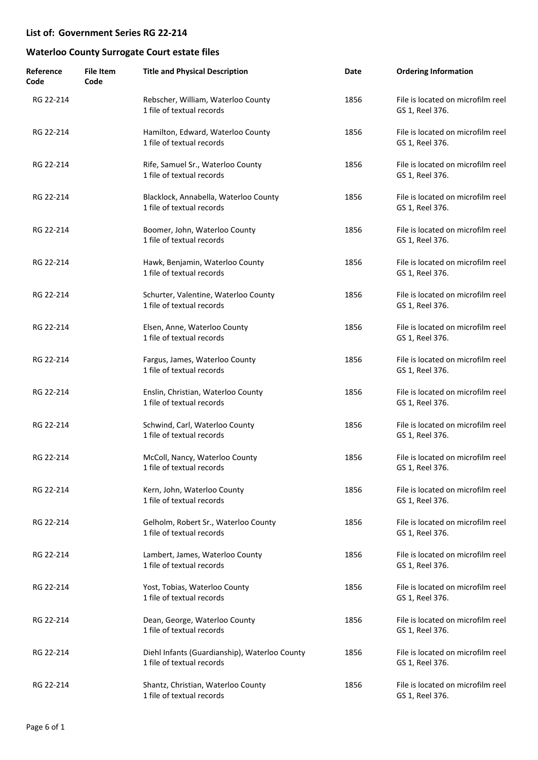| Reference<br>Code | <b>File Item</b><br>Code | <b>Title and Physical Description</b>                                      | Date | <b>Ordering Information</b>                          |
|-------------------|--------------------------|----------------------------------------------------------------------------|------|------------------------------------------------------|
| RG 22-214         |                          | Rebscher, William, Waterloo County<br>1 file of textual records            | 1856 | File is located on microfilm reel<br>GS 1, Reel 376. |
| RG 22-214         |                          | Hamilton, Edward, Waterloo County<br>1 file of textual records             | 1856 | File is located on microfilm reel<br>GS 1, Reel 376. |
| RG 22-214         |                          | Rife, Samuel Sr., Waterloo County<br>1 file of textual records             | 1856 | File is located on microfilm reel<br>GS 1, Reel 376. |
| RG 22-214         |                          | Blacklock, Annabella, Waterloo County<br>1 file of textual records         | 1856 | File is located on microfilm reel<br>GS 1, Reel 376. |
| RG 22-214         |                          | Boomer, John, Waterloo County<br>1 file of textual records                 | 1856 | File is located on microfilm reel<br>GS 1, Reel 376. |
| RG 22-214         |                          | Hawk, Benjamin, Waterloo County<br>1 file of textual records               | 1856 | File is located on microfilm reel<br>GS 1, Reel 376. |
| RG 22-214         |                          | Schurter, Valentine, Waterloo County<br>1 file of textual records          | 1856 | File is located on microfilm reel<br>GS 1, Reel 376. |
| RG 22-214         |                          | Elsen, Anne, Waterloo County<br>1 file of textual records                  | 1856 | File is located on microfilm reel<br>GS 1, Reel 376. |
| RG 22-214         |                          | Fargus, James, Waterloo County<br>1 file of textual records                | 1856 | File is located on microfilm reel<br>GS 1, Reel 376. |
| RG 22-214         |                          | Enslin, Christian, Waterloo County<br>1 file of textual records            | 1856 | File is located on microfilm reel<br>GS 1, Reel 376. |
| RG 22-214         |                          | Schwind, Carl, Waterloo County<br>1 file of textual records                | 1856 | File is located on microfilm reel<br>GS 1, Reel 376. |
| RG 22-214         |                          | McColl, Nancy, Waterloo County<br>1 file of textual records                | 1856 | File is located on microfilm reel<br>GS 1, Reel 376. |
| RG 22-214         |                          | Kern, John, Waterloo County<br>1 file of textual records                   | 1856 | File is located on microfilm reel<br>GS 1, Reel 376. |
| RG 22-214         |                          | Gelholm, Robert Sr., Waterloo County<br>1 file of textual records          | 1856 | File is located on microfilm reel<br>GS 1, Reel 376. |
| RG 22-214         |                          | Lambert, James, Waterloo County<br>1 file of textual records               | 1856 | File is located on microfilm reel<br>GS 1, Reel 376. |
| RG 22-214         |                          | Yost, Tobias, Waterloo County<br>1 file of textual records                 | 1856 | File is located on microfilm reel<br>GS 1, Reel 376. |
| RG 22-214         |                          | Dean, George, Waterloo County<br>1 file of textual records                 | 1856 | File is located on microfilm reel<br>GS 1, Reel 376. |
| RG 22-214         |                          | Diehl Infants (Guardianship), Waterloo County<br>1 file of textual records | 1856 | File is located on microfilm reel<br>GS 1, Reel 376. |
| RG 22-214         |                          | Shantz, Christian, Waterloo County<br>1 file of textual records            | 1856 | File is located on microfilm reel<br>GS 1, Reel 376. |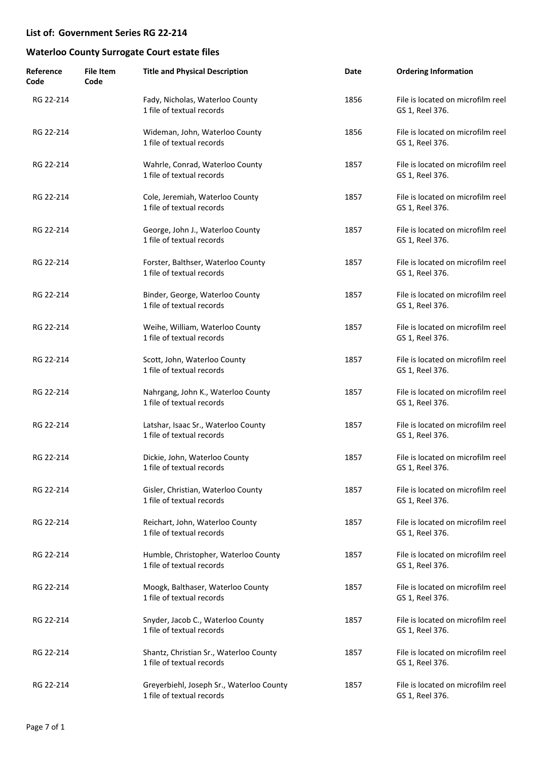| Reference<br>Code | <b>File Item</b><br>Code | <b>Title and Physical Description</b>                                 | Date | <b>Ordering Information</b>                          |
|-------------------|--------------------------|-----------------------------------------------------------------------|------|------------------------------------------------------|
| RG 22-214         |                          | Fady, Nicholas, Waterloo County<br>1 file of textual records          | 1856 | File is located on microfilm reel<br>GS 1, Reel 376. |
| RG 22-214         |                          | Wideman, John, Waterloo County<br>1 file of textual records           | 1856 | File is located on microfilm reel<br>GS 1, Reel 376. |
| RG 22-214         |                          | Wahrle, Conrad, Waterloo County<br>1 file of textual records          | 1857 | File is located on microfilm reel<br>GS 1, Reel 376. |
| RG 22-214         |                          | Cole, Jeremiah, Waterloo County<br>1 file of textual records          | 1857 | File is located on microfilm reel<br>GS 1, Reel 376. |
| RG 22-214         |                          | George, John J., Waterloo County<br>1 file of textual records         | 1857 | File is located on microfilm reel<br>GS 1, Reel 376. |
| RG 22-214         |                          | Forster, Balthser, Waterloo County<br>1 file of textual records       | 1857 | File is located on microfilm reel<br>GS 1, Reel 376. |
| RG 22-214         |                          | Binder, George, Waterloo County<br>1 file of textual records          | 1857 | File is located on microfilm reel<br>GS 1, Reel 376. |
| RG 22-214         |                          | Weihe, William, Waterloo County<br>1 file of textual records          | 1857 | File is located on microfilm reel<br>GS 1, Reel 376. |
| RG 22-214         |                          | Scott, John, Waterloo County<br>1 file of textual records             | 1857 | File is located on microfilm reel<br>GS 1, Reel 376. |
| RG 22-214         |                          | Nahrgang, John K., Waterloo County<br>1 file of textual records       | 1857 | File is located on microfilm reel<br>GS 1, Reel 376. |
| RG 22-214         |                          | Latshar, Isaac Sr., Waterloo County<br>1 file of textual records      | 1857 | File is located on microfilm reel<br>GS 1, Reel 376. |
| RG 22-214         |                          | Dickie, John, Waterloo County<br>1 file of textual records            | 1857 | File is located on microfilm reel<br>GS 1, Reel 376. |
| RG 22-214         |                          | Gisler, Christian, Waterloo County<br>1 file of textual records       | 1857 | File is located on microfilm reel<br>GS 1, Reel 376. |
| RG 22-214         |                          | Reichart, John, Waterloo County<br>1 file of textual records          | 1857 | File is located on microfilm reel<br>GS 1, Reel 376. |
| RG 22-214         |                          | Humble, Christopher, Waterloo County<br>1 file of textual records     | 1857 | File is located on microfilm reel<br>GS 1, Reel 376. |
| RG 22-214         |                          | Moogk, Balthaser, Waterloo County<br>1 file of textual records        | 1857 | File is located on microfilm reel<br>GS 1, Reel 376. |
| RG 22-214         |                          | Snyder, Jacob C., Waterloo County<br>1 file of textual records        | 1857 | File is located on microfilm reel<br>GS 1, Reel 376. |
| RG 22-214         |                          | Shantz, Christian Sr., Waterloo County<br>1 file of textual records   | 1857 | File is located on microfilm reel<br>GS 1, Reel 376. |
| RG 22-214         |                          | Greyerbiehl, Joseph Sr., Waterloo County<br>1 file of textual records | 1857 | File is located on microfilm reel<br>GS 1, Reel 376. |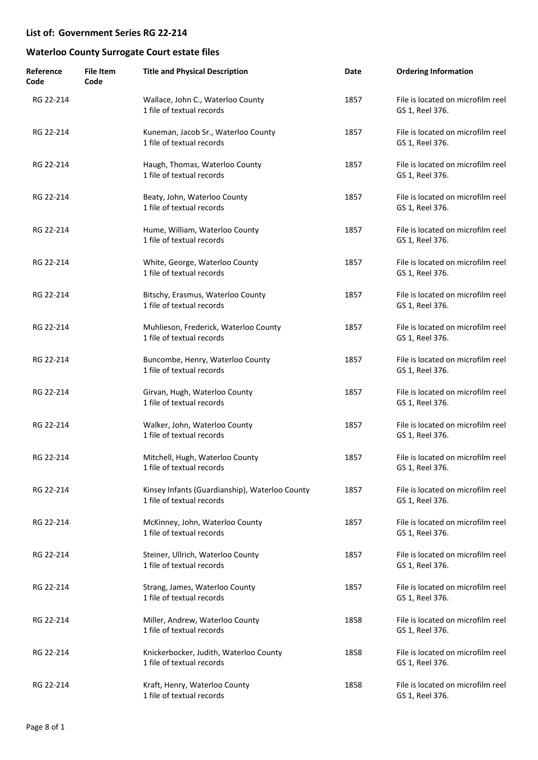| Reference<br>Code | <b>File Item</b><br>Code | <b>Title and Physical Description</b>                                       | Date | <b>Ordering Information</b>                          |
|-------------------|--------------------------|-----------------------------------------------------------------------------|------|------------------------------------------------------|
| RG 22-214         |                          | Wallace, John C., Waterloo County<br>1 file of textual records              | 1857 | File is located on microfilm reel<br>GS 1, Reel 376. |
| RG 22-214         |                          | Kuneman, Jacob Sr., Waterloo County<br>1 file of textual records            | 1857 | File is located on microfilm reel<br>GS 1, Reel 376. |
| RG 22-214         |                          | Haugh, Thomas, Waterloo County<br>1 file of textual records                 | 1857 | File is located on microfilm reel<br>GS 1, Reel 376. |
| RG 22-214         |                          | Beaty, John, Waterloo County<br>1 file of textual records                   | 1857 | File is located on microfilm reel<br>GS 1, Reel 376. |
| RG 22-214         |                          | Hume, William, Waterloo County<br>1 file of textual records                 | 1857 | File is located on microfilm reel<br>GS 1, Reel 376. |
| RG 22-214         |                          | White, George, Waterloo County<br>1 file of textual records                 | 1857 | File is located on microfilm reel<br>GS 1, Reel 376. |
| RG 22-214         |                          | Bitschy, Erasmus, Waterloo County<br>1 file of textual records              | 1857 | File is located on microfilm reel<br>GS 1, Reel 376. |
| RG 22-214         |                          | Muhlieson, Frederick, Waterloo County<br>1 file of textual records          | 1857 | File is located on microfilm reel<br>GS 1, Reel 376. |
| RG 22-214         |                          | Buncombe, Henry, Waterloo County<br>1 file of textual records               | 1857 | File is located on microfilm reel<br>GS 1, Reel 376. |
| RG 22-214         |                          | Girvan, Hugh, Waterloo County<br>1 file of textual records                  | 1857 | File is located on microfilm reel<br>GS 1, Reel 376. |
| RG 22-214         |                          | Walker, John, Waterloo County<br>1 file of textual records                  | 1857 | File is located on microfilm reel<br>GS 1, Reel 376. |
| RG 22-214         |                          | Mitchell, Hugh, Waterloo County<br>1 file of textual records                | 1857 | File is located on microfilm reel<br>GS 1, Reel 376. |
| RG 22-214         |                          | Kinsey Infants (Guardianship), Waterloo County<br>1 file of textual records | 1857 | File is located on microfilm reel<br>GS 1, Reel 376. |
| RG 22-214         |                          | McKinney, John, Waterloo County<br>1 file of textual records                | 1857 | File is located on microfilm reel<br>GS 1, Reel 376. |
| RG 22-214         |                          | Steiner, Ullrich, Waterloo County<br>1 file of textual records              | 1857 | File is located on microfilm reel<br>GS 1, Reel 376. |
| RG 22-214         |                          | Strang, James, Waterloo County<br>1 file of textual records                 | 1857 | File is located on microfilm reel<br>GS 1, Reel 376. |
| RG 22-214         |                          | Miller, Andrew, Waterloo County<br>1 file of textual records                | 1858 | File is located on microfilm reel<br>GS 1, Reel 376. |
| RG 22-214         |                          | Knickerbocker, Judith, Waterloo County<br>1 file of textual records         | 1858 | File is located on microfilm reel<br>GS 1, Reel 376. |
| RG 22-214         |                          | Kraft, Henry, Waterloo County<br>1 file of textual records                  | 1858 | File is located on microfilm reel<br>GS 1, Reel 376. |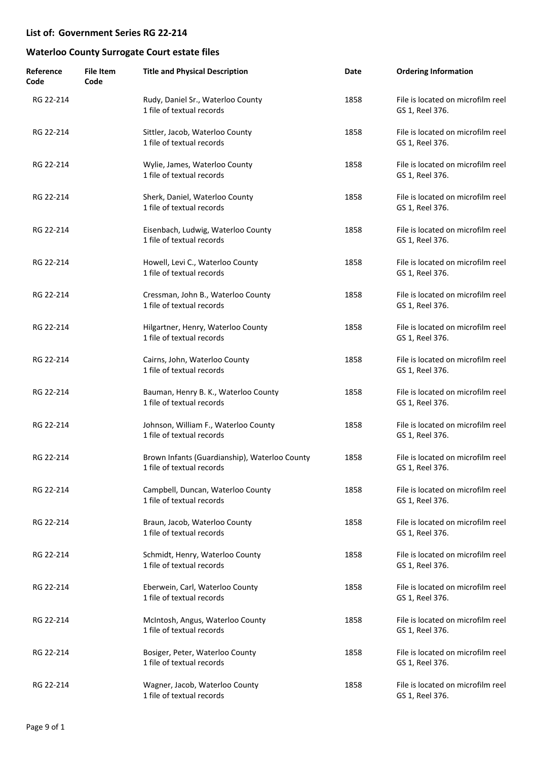| Reference<br>Code | <b>File Item</b><br>Code | <b>Title and Physical Description</b>                                      | Date | <b>Ordering Information</b>                          |
|-------------------|--------------------------|----------------------------------------------------------------------------|------|------------------------------------------------------|
| RG 22-214         |                          | Rudy, Daniel Sr., Waterloo County<br>1 file of textual records             | 1858 | File is located on microfilm reel<br>GS 1, Reel 376. |
| RG 22-214         |                          | Sittler, Jacob, Waterloo County<br>1 file of textual records               | 1858 | File is located on microfilm reel<br>GS 1, Reel 376. |
| RG 22-214         |                          | Wylie, James, Waterloo County<br>1 file of textual records                 | 1858 | File is located on microfilm reel<br>GS 1, Reel 376. |
| RG 22-214         |                          | Sherk, Daniel, Waterloo County<br>1 file of textual records                | 1858 | File is located on microfilm reel<br>GS 1, Reel 376. |
| RG 22-214         |                          | Eisenbach, Ludwig, Waterloo County<br>1 file of textual records            | 1858 | File is located on microfilm reel<br>GS 1, Reel 376. |
| RG 22-214         |                          | Howell, Levi C., Waterloo County<br>1 file of textual records              | 1858 | File is located on microfilm reel<br>GS 1, Reel 376. |
| RG 22-214         |                          | Cressman, John B., Waterloo County<br>1 file of textual records            | 1858 | File is located on microfilm reel<br>GS 1, Reel 376. |
| RG 22-214         |                          | Hilgartner, Henry, Waterloo County<br>1 file of textual records            | 1858 | File is located on microfilm reel<br>GS 1, Reel 376. |
| RG 22-214         |                          | Cairns, John, Waterloo County<br>1 file of textual records                 | 1858 | File is located on microfilm reel<br>GS 1, Reel 376. |
| RG 22-214         |                          | Bauman, Henry B. K., Waterloo County<br>1 file of textual records          | 1858 | File is located on microfilm reel<br>GS 1, Reel 376. |
| RG 22-214         |                          | Johnson, William F., Waterloo County<br>1 file of textual records          | 1858 | File is located on microfilm reel<br>GS 1, Reel 376. |
| RG 22-214         |                          | Brown Infants (Guardianship), Waterloo County<br>1 file of textual records | 1858 | File is located on microfilm reel<br>GS 1, Reel 376. |
| RG 22-214         |                          | Campbell, Duncan, Waterloo County<br>1 file of textual records             | 1858 | File is located on microfilm reel<br>GS 1, Reel 376. |
| RG 22-214         |                          | Braun, Jacob, Waterloo County<br>1 file of textual records                 | 1858 | File is located on microfilm reel<br>GS 1, Reel 376. |
| RG 22-214         |                          | Schmidt, Henry, Waterloo County<br>1 file of textual records               | 1858 | File is located on microfilm reel<br>GS 1, Reel 376. |
| RG 22-214         |                          | Eberwein, Carl, Waterloo County<br>1 file of textual records               | 1858 | File is located on microfilm reel<br>GS 1, Reel 376. |
| RG 22-214         |                          | McIntosh, Angus, Waterloo County<br>1 file of textual records              | 1858 | File is located on microfilm reel<br>GS 1, Reel 376. |
| RG 22-214         |                          | Bosiger, Peter, Waterloo County<br>1 file of textual records               | 1858 | File is located on microfilm reel<br>GS 1, Reel 376. |
| RG 22-214         |                          | Wagner, Jacob, Waterloo County<br>1 file of textual records                | 1858 | File is located on microfilm reel<br>GS 1, Reel 376. |